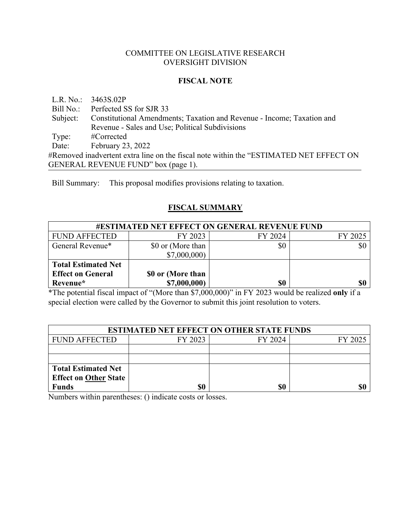#### COMMITTEE ON LEGISLATIVE RESEARCH OVERSIGHT DIVISION

#### **FISCAL NOTE**

L.R. No.: 3463S.02P

Bill No.: Perfected SS for SJR 33

Subject: Constitutional Amendments; Taxation and Revenue - Income; Taxation and Revenue - Sales and Use; Political Subdivisions

Type: #Corrected

Date: February 23, 2022

#Removed inadvertent extra line on the fiscal note within the "ESTIMATED NET EFFECT ON GENERAL REVENUE FUND" box (page 1).

Bill Summary: This proposal modifies provisions relating to taxation.

# **FISCAL SUMMARY**

| <b>#ESTIMATED NET EFFECT ON GENERAL REVENUE FUND</b> |                   |         |         |  |
|------------------------------------------------------|-------------------|---------|---------|--|
| <b>FUND AFFECTED</b>                                 | FY 2023           | FY 2024 | FY 2025 |  |
| General Revenue*                                     | \$0 or (More than | \$0     | \$0     |  |
|                                                      | \$7,000,000       |         |         |  |
| <b>Total Estimated Net</b>                           |                   |         |         |  |
| <b>Effect on General</b>                             | \$0 or (More than |         |         |  |
| Revenue*                                             | \$7,000,000)      | \$0     | \$0     |  |

\*The potential fiscal impact of "(More than \$7,000,000)" in FY 2023 would be realized **only** if a special election were called by the Governor to submit this joint resolution to voters.

| <b>ESTIMATED NET EFFECT ON OTHER STATE FUNDS</b> |         |         |         |  |
|--------------------------------------------------|---------|---------|---------|--|
| <b>FUND AFFECTED</b>                             | FY 2023 | FY 2024 | FY 2025 |  |
|                                                  |         |         |         |  |
|                                                  |         |         |         |  |
| <b>Total Estimated Net</b>                       |         |         |         |  |
| <b>Effect on Other State</b>                     |         |         |         |  |
| <b>Funds</b>                                     | \$0     | \$0     |         |  |

Numbers within parentheses: () indicate costs or losses.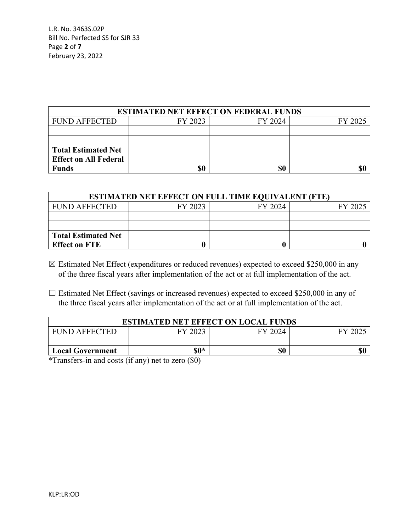L.R. No. 3463S.02P Bill No. Perfected SS for SJR 33 Page **2** of **7** February 23, 2022

| <b>ESTIMATED NET EFFECT ON FEDERAL FUNDS</b> |         |         |         |  |
|----------------------------------------------|---------|---------|---------|--|
| <b>FUND AFFECTED</b>                         | FY 2023 | FY 2024 | FY 2025 |  |
|                                              |         |         |         |  |
|                                              |         |         |         |  |
| <b>Total Estimated Net</b>                   |         |         |         |  |
| <b>Effect on All Federal</b>                 |         |         |         |  |
| Funds                                        | \$0     | \$0     |         |  |

| <b>ESTIMATED NET EFFECT ON FULL TIME EQUIVALENT (FTE)</b> |         |         |         |  |
|-----------------------------------------------------------|---------|---------|---------|--|
| <b>FUND AFFECTED</b>                                      | FY 2023 | FY 2024 | FY 2025 |  |
|                                                           |         |         |         |  |
|                                                           |         |         |         |  |
| <b>Total Estimated Net</b>                                |         |         |         |  |
| <b>Effect on FTE</b>                                      |         |         |         |  |

- $\boxtimes$  Estimated Net Effect (expenditures or reduced revenues) expected to exceed \$250,000 in any of the three fiscal years after implementation of the act or at full implementation of the act.
- $\Box$  Estimated Net Effect (savings or increased revenues) expected to exceed \$250,000 in any of the three fiscal years after implementation of the act or at full implementation of the act.

| <b>ESTIMATED NET EFFECT ON LOCAL FUNDS</b> |         |         |         |  |
|--------------------------------------------|---------|---------|---------|--|
| <b>FUND AFFECTED</b>                       | FY 2023 | FY 2024 | FY 2025 |  |
|                                            |         |         |         |  |
| <b>Local Government</b>                    | $\$0*$  | \$0     |         |  |
| .                                          |         |         |         |  |

\*Transfers-in and costs (if any) net to zero (\$0)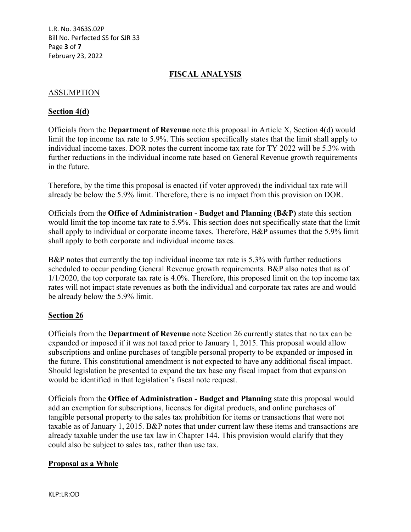L.R. No. 3463S.02P Bill No. Perfected SS for SJR 33 Page **3** of **7** February 23, 2022

# **FISCAL ANALYSIS**

## ASSUMPTION

## **Section 4(d)**

Officials from the **Department of Revenue** note this proposal in Article X, Section 4(d) would limit the top income tax rate to 5.9%. This section specifically states that the limit shall apply to individual income taxes. DOR notes the current income tax rate for TY 2022 will be 5.3% with further reductions in the individual income rate based on General Revenue growth requirements in the future.

Therefore, by the time this proposal is enacted (if voter approved) the individual tax rate will already be below the 5.9% limit. Therefore, there is no impact from this provision on DOR.

Officials from the **Office of Administration - Budget and Planning (B&P)** state this section would limit the top income tax rate to 5.9%. This section does not specifically state that the limit shall apply to individual or corporate income taxes. Therefore, B&P assumes that the 5.9% limit shall apply to both corporate and individual income taxes.

B&P notes that currently the top individual income tax rate is 5.3% with further reductions scheduled to occur pending General Revenue growth requirements. B&P also notes that as of 1/1/2020, the top corporate tax rate is 4.0%. Therefore, this proposed limit on the top income tax rates will not impact state revenues as both the individual and corporate tax rates are and would be already below the 5.9% limit.

#### **Section 26**

Officials from the **Department of Revenue** note Section 26 currently states that no tax can be expanded or imposed if it was not taxed prior to January 1, 2015. This proposal would allow subscriptions and online purchases of tangible personal property to be expanded or imposed in the future. This constitutional amendment is not expected to have any additional fiscal impact. Should legislation be presented to expand the tax base any fiscal impact from that expansion would be identified in that legislation's fiscal note request.

Officials from the **Office of Administration - Budget and Planning** state this proposal would add an exemption for subscriptions, licenses for digital products, and online purchases of tangible personal property to the sales tax prohibition for items or transactions that were not taxable as of January 1, 2015. B&P notes that under current law these items and transactions are already taxable under the use tax law in Chapter 144. This provision would clarify that they could also be subject to sales tax, rather than use tax.

#### **Proposal as a Whole**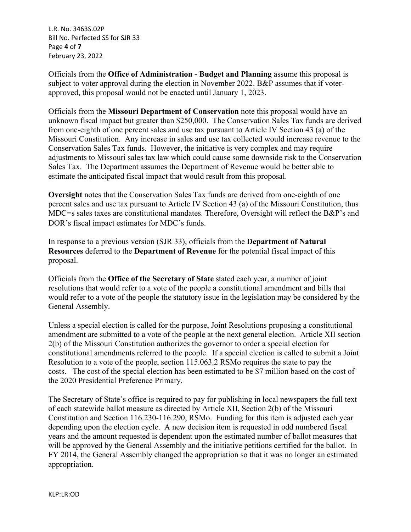L.R. No. 3463S.02P Bill No. Perfected SS for SJR 33 Page **4** of **7** February 23, 2022

Officials from the **Office of Administration - Budget and Planning** assume this proposal is subject to voter approval during the election in November 2022. B&P assumes that if voterapproved, this proposal would not be enacted until January 1, 2023.

Officials from the **Missouri Department of Conservation** note this proposal would have an unknown fiscal impact but greater than \$250,000. The Conservation Sales Tax funds are derived from one-eighth of one percent sales and use tax pursuant to Article IV Section 43 (a) of the Missouri Constitution. Any increase in sales and use tax collected would increase revenue to the Conservation Sales Tax funds. However, the initiative is very complex and may require adjustments to Missouri sales tax law which could cause some downside risk to the Conservation Sales Tax. The Department assumes the Department of Revenue would be better able to estimate the anticipated fiscal impact that would result from this proposal.

**Oversight** notes that the Conservation Sales Tax funds are derived from one-eighth of one percent sales and use tax pursuant to Article IV Section 43 (a) of the Missouri Constitution, thus MDC=s sales taxes are constitutional mandates. Therefore, Oversight will reflect the B&P's and DOR's fiscal impact estimates for MDC's funds.

In response to a previous version (SJR 33), officials from the **Department of Natural Resources** deferred to the **Department of Revenue** for the potential fiscal impact of this proposal.

Officials from the **Office of the Secretary of State** stated each year, a number of joint resolutions that would refer to a vote of the people a constitutional amendment and bills that would refer to a vote of the people the statutory issue in the legislation may be considered by the General Assembly.

Unless a special election is called for the purpose, Joint Resolutions proposing a constitutional amendment are submitted to a vote of the people at the next general election. Article XII section 2(b) of the Missouri Constitution authorizes the governor to order a special election for constitutional amendments referred to the people. If a special election is called to submit a Joint Resolution to a vote of the people, section 115.063.2 RSMo requires the state to pay the costs. The cost of the special election has been estimated to be \$7 million based on the cost of the 2020 Presidential Preference Primary.

The Secretary of State's office is required to pay for publishing in local newspapers the full text of each statewide ballot measure as directed by Article XII, Section 2(b) of the Missouri Constitution and Section 116.230-116.290, RSMo. Funding for this item is adjusted each year depending upon the election cycle. A new decision item is requested in odd numbered fiscal years and the amount requested is dependent upon the estimated number of ballot measures that will be approved by the General Assembly and the initiative petitions certified for the ballot. In FY 2014, the General Assembly changed the appropriation so that it was no longer an estimated appropriation.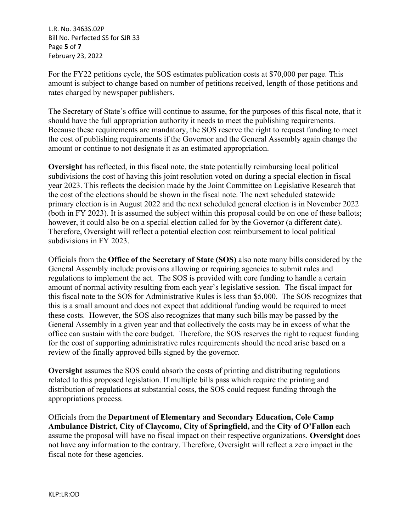L.R. No. 3463S.02P Bill No. Perfected SS for SJR 33 Page **5** of **7** February 23, 2022

For the FY22 petitions cycle, the SOS estimates publication costs at \$70,000 per page. This amount is subject to change based on number of petitions received, length of those petitions and rates charged by newspaper publishers.

The Secretary of State's office will continue to assume, for the purposes of this fiscal note, that it should have the full appropriation authority it needs to meet the publishing requirements. Because these requirements are mandatory, the SOS reserve the right to request funding to meet the cost of publishing requirements if the Governor and the General Assembly again change the amount or continue to not designate it as an estimated appropriation.

**Oversight** has reflected, in this fiscal note, the state potentially reimbursing local political subdivisions the cost of having this joint resolution voted on during a special election in fiscal year 2023. This reflects the decision made by the Joint Committee on Legislative Research that the cost of the elections should be shown in the fiscal note. The next scheduled statewide primary election is in August 2022 and the next scheduled general election is in November 2022 (both in FY 2023). It is assumed the subject within this proposal could be on one of these ballots; however, it could also be on a special election called for by the Governor (a different date). Therefore, Oversight will reflect a potential election cost reimbursement to local political subdivisions in FY 2023.

Officials from the **Office of the Secretary of State (SOS)** also note many bills considered by the General Assembly include provisions allowing or requiring agencies to submit rules and regulations to implement the act. The SOS is provided with core funding to handle a certain amount of normal activity resulting from each year's legislative session. The fiscal impact for this fiscal note to the SOS for Administrative Rules is less than \$5,000. The SOS recognizes that this is a small amount and does not expect that additional funding would be required to meet these costs. However, the SOS also recognizes that many such bills may be passed by the General Assembly in a given year and that collectively the costs may be in excess of what the office can sustain with the core budget. Therefore, the SOS reserves the right to request funding for the cost of supporting administrative rules requirements should the need arise based on a review of the finally approved bills signed by the governor.

**Oversight** assumes the SOS could absorb the costs of printing and distributing regulations related to this proposed legislation. If multiple bills pass which require the printing and distribution of regulations at substantial costs, the SOS could request funding through the appropriations process.

Officials from the **Department of Elementary and Secondary Education, Cole Camp Ambulance District, City of Claycomo, City of Springfield,** and the **City of O'Fallon** each assume the proposal will have no fiscal impact on their respective organizations. **Oversight** does not have any information to the contrary. Therefore, Oversight will reflect a zero impact in the fiscal note for these agencies.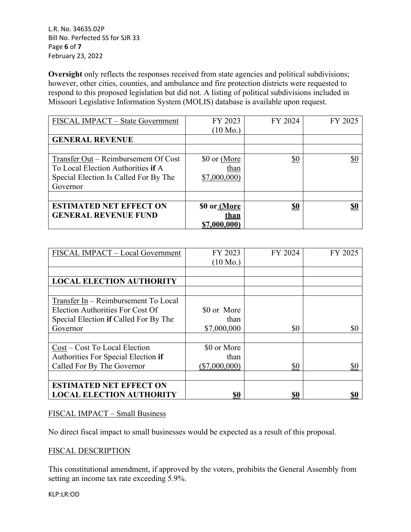L.R. No. 3463S.02P Bill No. Perfected SS for SJR 33 Page **6** of **7** February 23, 2022

**Oversight** only reflects the responses received from state agencies and political subdivisions; however, other cities, counties, and ambulance and fire protection districts were requested to respond to this proposed legislation but did not. A listing of political subdivisions included in Missouri Legislative Information System (MOLIS) database is available upon request.

| FISCAL IMPACT – State Government      | FY 2023             | FY 2024    | FY 2025    |
|---------------------------------------|---------------------|------------|------------|
|                                       | $(10 \text{ Mo.})$  |            |            |
| <b>GENERAL REVENUE</b>                |                     |            |            |
|                                       |                     |            |            |
| Transfer Out – Reimbursement Of Cost  | \$0 or (More        | \$0        | \$0        |
| To Local Election Authorities if A    | than                |            |            |
| Special Election Is Called For By The | \$7,000,000         |            |            |
| Governor                              |                     |            |            |
|                                       |                     |            |            |
| <b>ESTIMATED NET EFFECT ON</b>        | \$0 or (More        | <u>\$0</u> | <u>\$0</u> |
| <b>GENERAL REVENUE FUND</b>           | <u>than</u>         |            |            |
|                                       | <u>\$7,000,000)</u> |            |            |

| FISCAL IMPACT - Local Government        | FY 2023            | FY 2024 | FY 2025 |
|-----------------------------------------|--------------------|---------|---------|
|                                         | $(10 \text{ Mo.})$ |         |         |
|                                         |                    |         |         |
| <b>LOCAL ELECTION AUTHORITY</b>         |                    |         |         |
|                                         |                    |         |         |
| Transfer In - Reimbursement To Local    |                    |         |         |
| <b>Election Authorities For Cost Of</b> | \$0 or More        |         |         |
| Special Election if Called For By The   | than               |         |         |
| Governor                                | \$7,000,000        | \$0     | \$0     |
|                                         |                    |         |         |
| Cost – Cost To Local Election           | \$0 or More        |         |         |
| Authorities For Special Election if     | than               |         |         |
| Called For By The Governor              | $(\$7,000,000)$    | \$0     | \$0     |
|                                         |                    |         |         |
| <b>ESTIMATED NET EFFECT ON</b>          |                    |         |         |
| <b>LOCAL ELECTION AUTHORITY</b>         | \$0                | \$0     |         |

#### FISCAL IMPACT – Small Business

No direct fiscal impact to small businesses would be expected as a result of this proposal.

#### FISCAL DESCRIPTION

This constitutional amendment, if approved by the voters, prohibits the General Assembly from setting an income tax rate exceeding 5.9%.

KLP:LR:OD